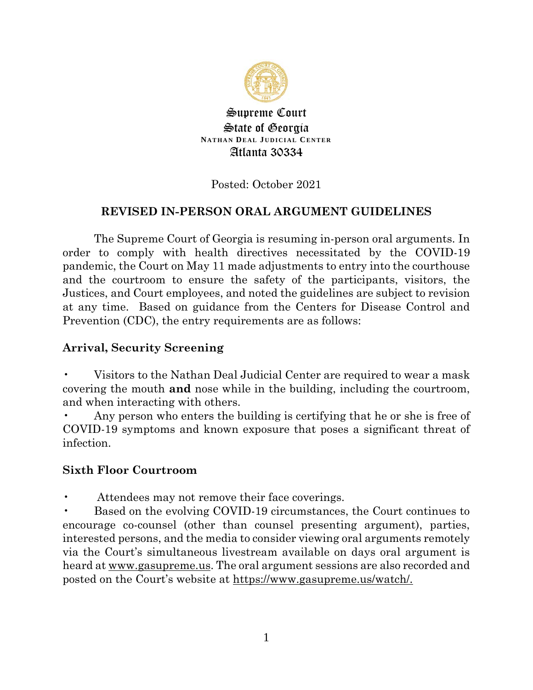

Supreme Court State of Georgia **NATHAN DEAL JUDICIAL CENTER** Atlanta 30334

### Posted: October 2021

### **REVISED IN-PERSON ORAL ARGUMENT GUIDELINES**

The Supreme Court of Georgia is resuming in-person oral arguments. In order to comply with health directives necessitated by the COVID-19 pandemic, the Court on May 11 made adjustments to entry into the courthouse and the courtroom to ensure the safety of the participants, visitors, the Justices, and Court employees, and noted the guidelines are subject to revision at any time. Based on guidance from the Centers for Disease Control and Prevention (CDC), the entry requirements are as follows:

#### **Arrival, Security Screening**

• Visitors to the Nathan Deal Judicial Center are required to wear a mask covering the mouth **and** nose while in the building, including the courtroom, and when interacting with others.

Any person who enters the building is certifying that he or she is free of COVID-19 symptoms and known exposure that poses a significant threat of infection.

### **Sixth Floor Courtroom**

Attendees may not remove their face coverings.

• Based on the evolving COVID-19 circumstances, the Court continues to encourage co-counsel (other than counsel presenting argument), parties, interested persons, and the media to consider viewing oral arguments remotely via the Court's simultaneous livestream available on days oral argument is heard at www.gasupreme.us. The oral argument sessions are also recorded and posted on the Court's website at https://www.gasupreme.us/watch/.